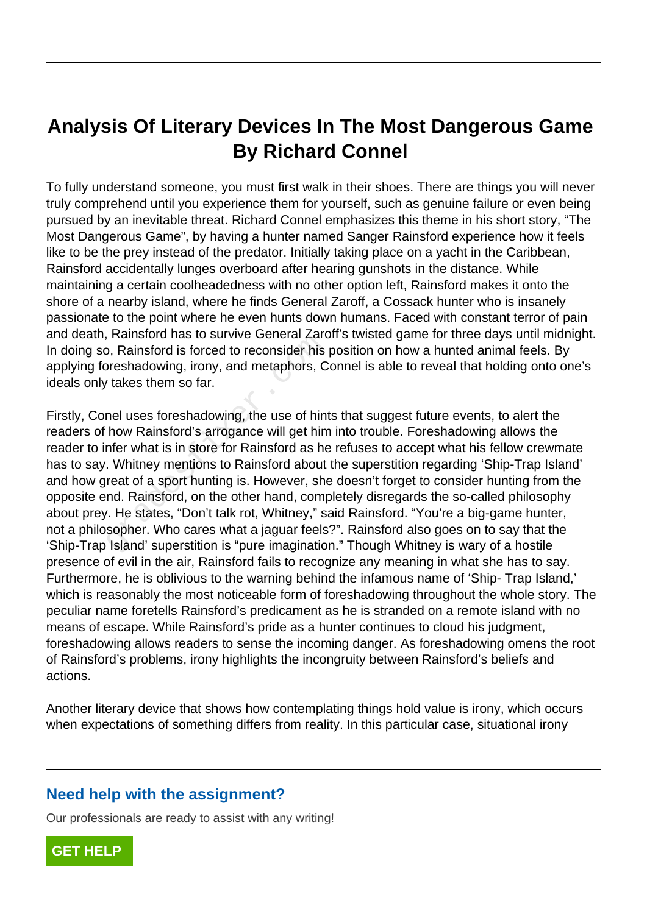## **Analysis Of Literary Devices In The Most Dangerous Game By Richard Connel**

To fully understand someone, you must first walk in their shoes. There are things you will never truly comprehend until you experience them for yourself, such as genuine failure or even being pursued by an inevitable threat. Richard Connel emphasizes this theme in his short story, "The Most Dangerous Game", by having a hunter named Sanger Rainsford experience how it feels like to be the prey instead of the predator. Initially taking place on a yacht in the Caribbean, Rainsford accidentally lunges overboard after hearing gunshots in the distance. While maintaining a certain coolheadedness with no other option left, Rainsford makes it onto the shore of a nearby island, where he finds General Zaroff, a Cossack hunter who is insanely passionate to the point where he even hunts down humans. Faced with constant terror of pain and death, Rainsford has to survive General Zaroff's twisted game for three days until midnight. In doing so, Rainsford is forced to reconsider his position on how a hunted animal feels. By applying foreshadowing, irony, and metaphors, Connel is able to reveal that holding onto one's ideals only takes them so far.

Firstly, Conel uses foreshadowing, the use of hints that suggest future events, to alert the readers of how Rainsford's arrogance will get him into trouble. Foreshadowing allows the reader to infer what is in store for Rainsford as he refuses to accept what his fellow crewmate has to say. Whitney mentions to Rainsford about the superstition regarding 'Ship-Trap Island' and how great of a sport hunting is. However, she doesn't forget to consider hunting from the opposite end. Rainsford, on the other hand, completely disregards the so-called philosophy about prey. He states, "Don't talk rot, Whitney," said Rainsford. "You're a big-game hunter, not a philosopher. Who cares what a jaguar feels?". Rainsford also goes on to say that the 'Ship-Trap Island' superstition is "pure imagination." Though Whitney is wary of a hostile presence of evil in the air, Rainsford fails to recognize any meaning in what she has to say. Furthermore, he is oblivious to the warning behind the infamous name of 'Ship- Trap Island,' which is reasonably the most noticeable form of foreshadowing throughout the whole story. The peculiar name foretells Rainsford's predicament as he is stranded on a remote island with no means of escape. While Rainsford's pride as a hunter continues to cloud his judgment, foreshadowing allows readers to sense the incoming danger. As foreshadowing omens the root of Rainsford's problems, irony highlights the incongruity between Rainsford's beliefs and actions. b, Rainslotd has to survive General Zate,<br>o, Rainsford is forced to reconsider his<br>preshadowing, irony, and metaphors, C<br>rakes them so far.<br>nel uses foreshadowing, the use of hin<br>how Rainsford's arrogance will get him<br>nfer

Another literary device that shows how contemplating things hold value is irony, which occurs when expectations of something differs from reality. In this particular case, situational irony

## **Need help with the assignment?**

Our professionals are ready to assist with any writing!

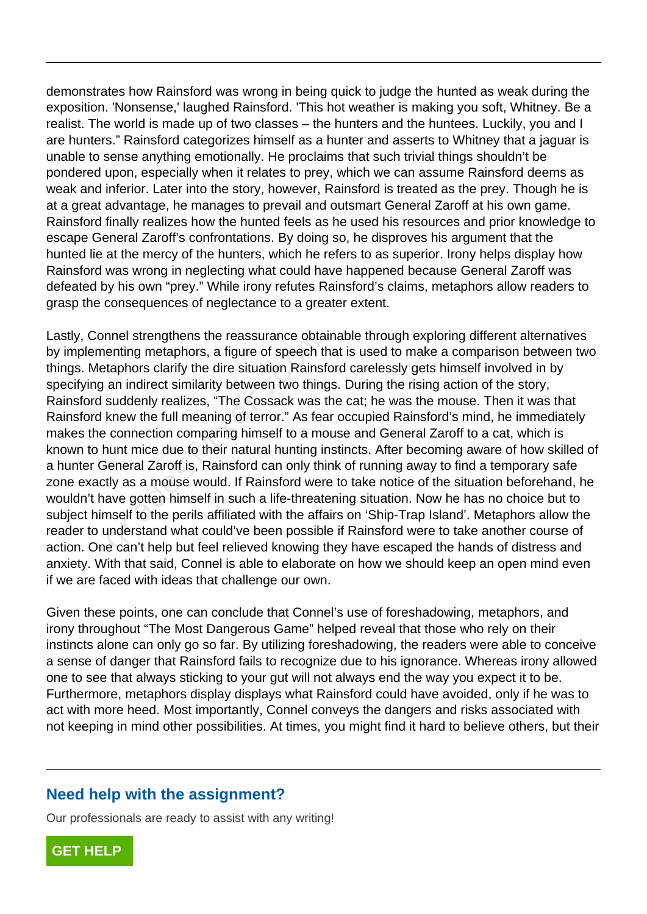demonstrates how Rainsford was wrong in being quick to judge the hunted as weak during the exposition. 'Nonsense,' laughed Rainsford. 'This hot weather is making you soft, Whitney. Be a realist. The world is made up of two classes – the hunters and the huntees. Luckily, you and I are hunters." Rainsford categorizes himself as a hunter and asserts to Whitney that a jaguar is unable to sense anything emotionally. He proclaims that such trivial things shouldn't be pondered upon, especially when it relates to prey, which we can assume Rainsford deems as weak and inferior. Later into the story, however, Rainsford is treated as the prey. Though he is at a great advantage, he manages to prevail and outsmart General Zaroff at his own game. Rainsford finally realizes how the hunted feels as he used his resources and prior knowledge to escape General Zaroff's confrontations. By doing so, he disproves his argument that the hunted lie at the mercy of the hunters, which he refers to as superior. Irony helps display how Rainsford was wrong in neglecting what could have happened because General Zaroff was defeated by his own "prey." While irony refutes Rainsford's claims, metaphors allow readers to grasp the consequences of neglectance to a greater extent.

Lastly, Connel strengthens the reassurance obtainable through exploring different alternatives by implementing metaphors, a figure of speech that is used to make a comparison between two things. Metaphors clarify the dire situation Rainsford carelessly gets himself involved in by specifying an indirect similarity between two things. During the rising action of the story, Rainsford suddenly realizes, "The Cossack was the cat; he was the mouse. Then it was that Rainsford knew the full meaning of terror." As fear occupied Rainsford's mind, he immediately makes the connection comparing himself to a mouse and General Zaroff to a cat, which is known to hunt mice due to their natural hunting instincts. After becoming aware of how skilled of a hunter General Zaroff is, Rainsford can only think of running away to find a temporary safe zone exactly as a mouse would. If Rainsford were to take notice of the situation beforehand, he wouldn't have gotten himself in such a life-threatening situation. Now he has no choice but to subject himself to the perils affiliated with the affairs on 'Ship-Trap Island'. Metaphors allow the reader to understand what could've been possible if Rainsford were to take another course of action. One can't help but feel relieved knowing they have escaped the hands of distress and anxiety. With that said, Connel is able to elaborate on how we should keep an open mind even if we are faced with ideas that challenge our own. The strengmens the reassurance obtained enting metaphors, a figure of speech the taphors clarify the dire situation Rainsf<br>an indirect similarity between two thing<br>suddenly realizes, "The Cossack was the knew the full mean

Given these points, one can conclude that Connel's use of foreshadowing, metaphors, and irony throughout "The Most Dangerous Game" helped reveal that those who rely on their instincts alone can only go so far. By utilizing foreshadowing, the readers were able to conceive a sense of danger that Rainsford fails to recognize due to his ignorance. Whereas irony allowed one to see that always sticking to your gut will not always end the way you expect it to be. Furthermore, metaphors display displays what Rainsford could have avoided, only if he was to act with more heed. Most importantly, Connel conveys the dangers and risks associated with not keeping in mind other possibilities. At times, you might find it hard to believe others, but their

## **Need help with the assignment?**

Our professionals are ready to assist with any writing!

**[GET HELP](https://my.gradesfixer.com/order?utm_campaign=pdf_sample)**